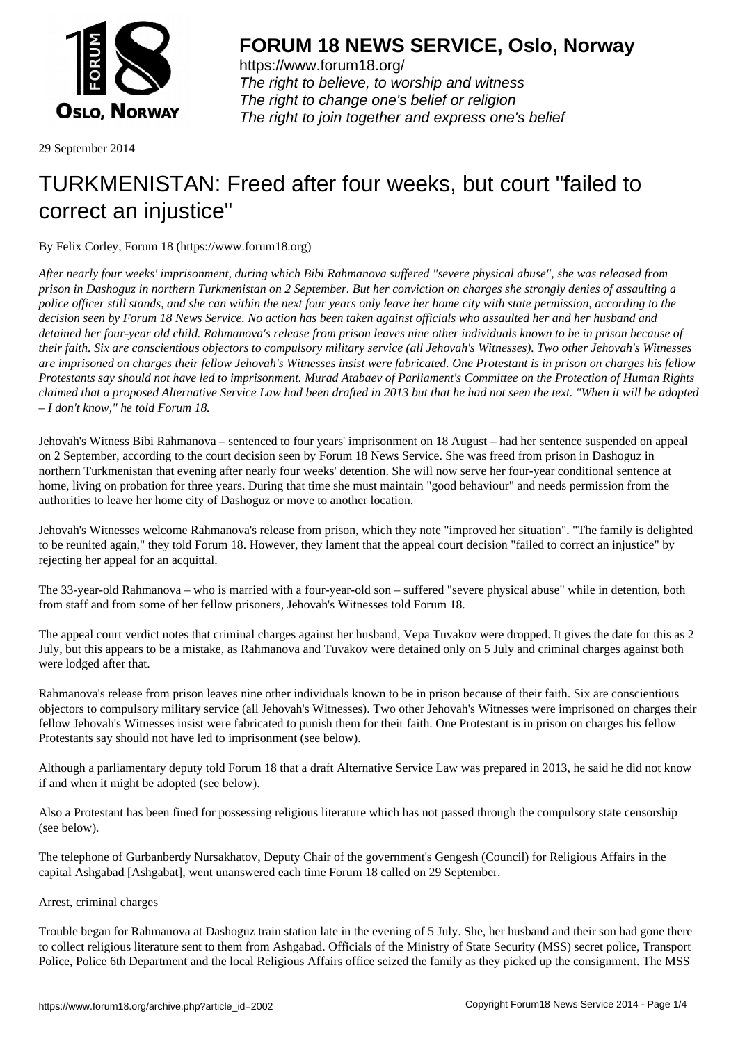

https://www.forum18.org/ The right to believe, to worship and witness The right to change one's belief or religion [The right to join together a](https://www.forum18.org/)nd express one's belief

29 September 2014

## [TURKMENISTA](https://www.forum18.org)N: Freed after four weeks, but court "failed to correct an injustice"

By Felix Corley, Forum 18 (https://www.forum18.org)

*After nearly four weeks' imprisonment, during which Bibi Rahmanova suffered "severe physical abuse", she was released from prison in Dashoguz in northern Turkmenistan on 2 September. But her conviction on charges she strongly denies of assaulting a police officer still stands, and she can within the next four years only leave her home city with state permission, according to the decision seen by Forum 18 News Service. No action has been taken against officials who assaulted her and her husband and detained her four-year old child. Rahmanova's release from prison leaves nine other individuals known to be in prison because of their faith. Six are conscientious objectors to compulsory military service (all Jehovah's Witnesses). Two other Jehovah's Witnesses are imprisoned on charges their fellow Jehovah's Witnesses insist were fabricated. One Protestant is in prison on charges his fellow Protestants say should not have led to imprisonment. Murad Atabaev of Parliament's Committee on the Protection of Human Rights claimed that a proposed Alternative Service Law had been drafted in 2013 but that he had not seen the text. "When it will be adopted – I don't know," he told Forum 18.*

Jehovah's Witness Bibi Rahmanova – sentenced to four years' imprisonment on 18 August – had her sentence suspended on appeal on 2 September, according to the court decision seen by Forum 18 News Service. She was freed from prison in Dashoguz in northern Turkmenistan that evening after nearly four weeks' detention. She will now serve her four-year conditional sentence at home, living on probation for three years. During that time she must maintain "good behaviour" and needs permission from the authorities to leave her home city of Dashoguz or move to another location.

Jehovah's Witnesses welcome Rahmanova's release from prison, which they note "improved her situation". "The family is delighted to be reunited again," they told Forum 18. However, they lament that the appeal court decision "failed to correct an injustice" by rejecting her appeal for an acquittal.

The 33-year-old Rahmanova – who is married with a four-year-old son – suffered "severe physical abuse" while in detention, both from staff and from some of her fellow prisoners, Jehovah's Witnesses told Forum 18.

The appeal court verdict notes that criminal charges against her husband, Vepa Tuvakov were dropped. It gives the date for this as 2 July, but this appears to be a mistake, as Rahmanova and Tuvakov were detained only on 5 July and criminal charges against both were lodged after that.

Rahmanova's release from prison leaves nine other individuals known to be in prison because of their faith. Six are conscientious objectors to compulsory military service (all Jehovah's Witnesses). Two other Jehovah's Witnesses were imprisoned on charges their fellow Jehovah's Witnesses insist were fabricated to punish them for their faith. One Protestant is in prison on charges his fellow Protestants say should not have led to imprisonment (see below).

Although a parliamentary deputy told Forum 18 that a draft Alternative Service Law was prepared in 2013, he said he did not know if and when it might be adopted (see below).

Also a Protestant has been fined for possessing religious literature which has not passed through the compulsory state censorship (see below).

The telephone of Gurbanberdy Nursakhatov, Deputy Chair of the government's Gengesh (Council) for Religious Affairs in the capital Ashgabad [Ashgabat], went unanswered each time Forum 18 called on 29 September.

Arrest, criminal charges

Trouble began for Rahmanova at Dashoguz train station late in the evening of 5 July. She, her husband and their son had gone there to collect religious literature sent to them from Ashgabad. Officials of the Ministry of State Security (MSS) secret police, Transport Police, Police 6th Department and the local Religious Affairs office seized the family as they picked up the consignment. The MSS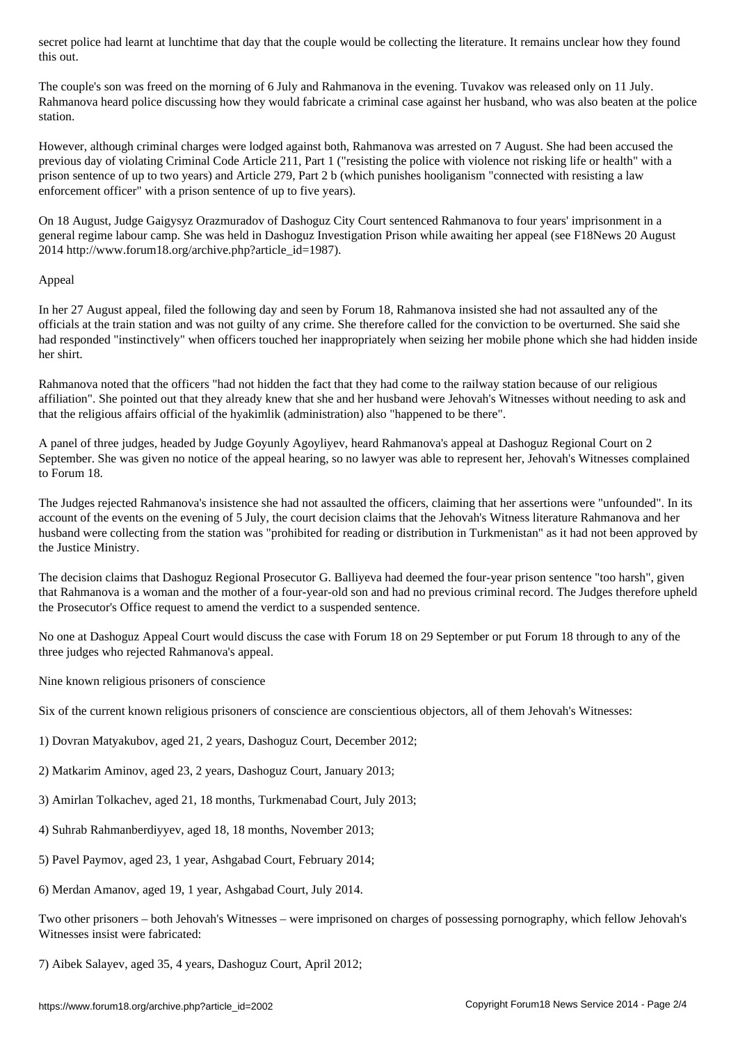The couple's son was freed on the morning of 6 July and Rahmanova in the evening. Tuvakov was released only on 11 July. Rahmanova heard police discussing how they would fabricate a criminal case against her husband, who was also beaten at the police station.

However, although criminal charges were lodged against both, Rahmanova was arrested on 7 August. She had been accused the previous day of violating Criminal Code Article 211, Part 1 ("resisting the police with violence not risking life or health" with a prison sentence of up to two years) and Article 279, Part 2 b (which punishes hooliganism "connected with resisting a law enforcement officer" with a prison sentence of up to five years).

On 18 August, Judge Gaigysyz Orazmuradov of Dashoguz City Court sentenced Rahmanova to four years' imprisonment in a general regime labour camp. She was held in Dashoguz Investigation Prison while awaiting her appeal (see F18News 20 August 2014 http://www.forum18.org/archive.php?article\_id=1987).

## Appeal

In her 27 August appeal, filed the following day and seen by Forum 18, Rahmanova insisted she had not assaulted any of the officials at the train station and was not guilty of any crime. She therefore called for the conviction to be overturned. She said she had responded "instinctively" when officers touched her inappropriately when seizing her mobile phone which she had hidden inside her shirt.

Rahmanova noted that the officers "had not hidden the fact that they had come to the railway station because of our religious affiliation". She pointed out that they already knew that she and her husband were Jehovah's Witnesses without needing to ask and that the religious affairs official of the hyakimlik (administration) also "happened to be there".

A panel of three judges, headed by Judge Goyunly Agoyliyev, heard Rahmanova's appeal at Dashoguz Regional Court on 2 September. She was given no notice of the appeal hearing, so no lawyer was able to represent her, Jehovah's Witnesses complained to Forum 18.

The Judges rejected Rahmanova's insistence she had not assaulted the officers, claiming that her assertions were "unfounded". In its account of the events on the evening of 5 July, the court decision claims that the Jehovah's Witness literature Rahmanova and her husband were collecting from the station was "prohibited for reading or distribution in Turkmenistan" as it had not been approved by the Justice Ministry.

The decision claims that Dashoguz Regional Prosecutor G. Balliyeva had deemed the four-year prison sentence "too harsh", given that Rahmanova is a woman and the mother of a four-year-old son and had no previous criminal record. The Judges therefore upheld the Prosecutor's Office request to amend the verdict to a suspended sentence.

No one at Dashoguz Appeal Court would discuss the case with Forum 18 on 29 September or put Forum 18 through to any of the three judges who rejected Rahmanova's appeal.

Nine known religious prisoners of conscience

Six of the current known religious prisoners of conscience are conscientious objectors, all of them Jehovah's Witnesses:

- 1) Dovran Matyakubov, aged 21, 2 years, Dashoguz Court, December 2012;
- 2) Matkarim Aminov, aged 23, 2 years, Dashoguz Court, January 2013;
- 3) Amirlan Tolkachev, aged 21, 18 months, Turkmenabad Court, July 2013;
- 4) Suhrab Rahmanberdiyyev, aged 18, 18 months, November 2013;
- 5) Pavel Paymov, aged 23, 1 year, Ashgabad Court, February 2014;
- 6) Merdan Amanov, aged 19, 1 year, Ashgabad Court, July 2014.

Two other prisoners – both Jehovah's Witnesses – were imprisoned on charges of possessing pornography, which fellow Jehovah's Witnesses insist were fabricated:

7) Aibek Salayev, aged 35, 4 years, Dashoguz Court, April 2012;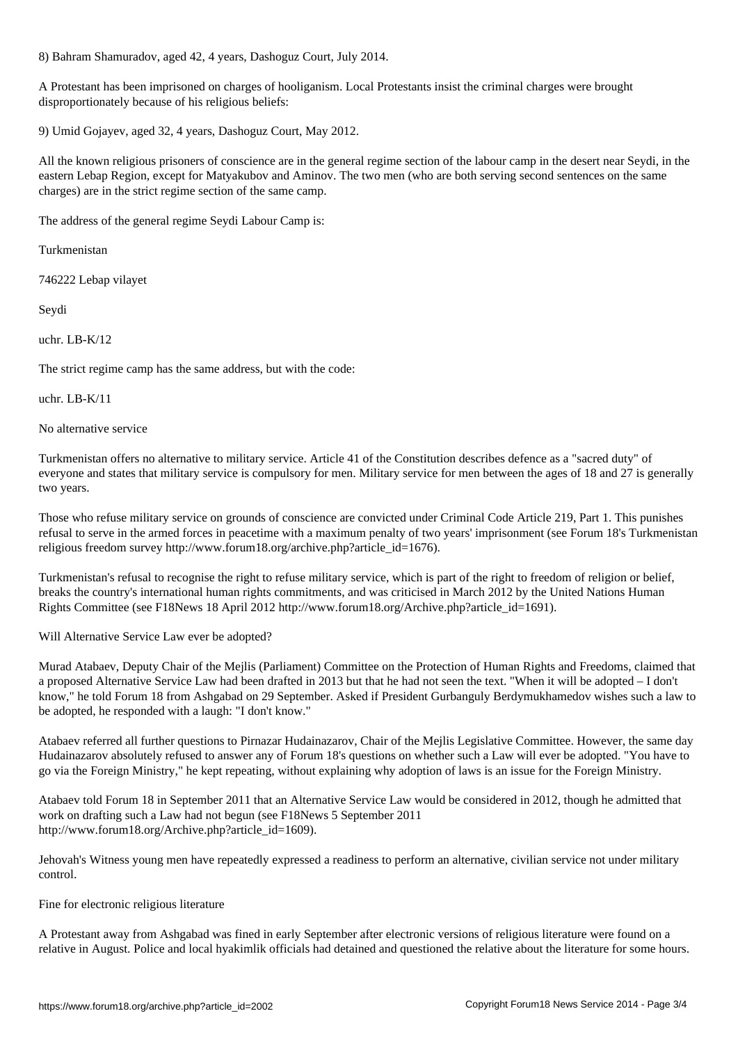8) Bahram Shamuradov, aged 42, 4 years, Dashoguz Court, July 2014.

A Protestant has been imprisoned on charges of hooliganism. Local Protestants insist the criminal charges were brought disproportionately because of his religious beliefs:

9) Umid Gojayev, aged 32, 4 years, Dashoguz Court, May 2012.

All the known religious prisoners of conscience are in the general regime section of the labour camp in the desert near Seydi, in the eastern Lebap Region, except for Matyakubov and Aminov. The two men (who are both serving second sentences on the same charges) are in the strict regime section of the same camp.

The address of the general regime Seydi Labour Camp is:

Turkmenistan

746222 Lebap vilayet

Seydi

uchr. LB-K/12

The strict regime camp has the same address, but with the code:

uchr. LB-K/11

No alternative service

Turkmenistan offers no alternative to military service. Article 41 of the Constitution describes defence as a "sacred duty" of everyone and states that military service is compulsory for men. Military service for men between the ages of 18 and 27 is generally two years.

Those who refuse military service on grounds of conscience are convicted under Criminal Code Article 219, Part 1. This punishes refusal to serve in the armed forces in peacetime with a maximum penalty of two years' imprisonment (see Forum 18's Turkmenistan religious freedom survey http://www.forum18.org/archive.php?article\_id=1676).

Turkmenistan's refusal to recognise the right to refuse military service, which is part of the right to freedom of religion or belief, breaks the country's international human rights commitments, and was criticised in March 2012 by the United Nations Human Rights Committee (see F18News 18 April 2012 http://www.forum18.org/Archive.php?article\_id=1691).

Will Alternative Service Law ever be adopted?

Murad Atabaev, Deputy Chair of the Mejlis (Parliament) Committee on the Protection of Human Rights and Freedoms, claimed that a proposed Alternative Service Law had been drafted in 2013 but that he had not seen the text. "When it will be adopted – I don't know," he told Forum 18 from Ashgabad on 29 September. Asked if President Gurbanguly Berdymukhamedov wishes such a law to be adopted, he responded with a laugh: "I don't know."

Atabaev referred all further questions to Pirnazar Hudainazarov, Chair of the Mejlis Legislative Committee. However, the same day Hudainazarov absolutely refused to answer any of Forum 18's questions on whether such a Law will ever be adopted. "You have to go via the Foreign Ministry," he kept repeating, without explaining why adoption of laws is an issue for the Foreign Ministry.

Atabaev told Forum 18 in September 2011 that an Alternative Service Law would be considered in 2012, though he admitted that work on drafting such a Law had not begun (see F18News 5 September 2011 http://www.forum18.org/Archive.php?article\_id=1609).

Jehovah's Witness young men have repeatedly expressed a readiness to perform an alternative, civilian service not under military control.

Fine for electronic religious literature

A Protestant away from Ashgabad was fined in early September after electronic versions of religious literature were found on a relative in August. Police and local hyakimlik officials had detained and questioned the relative about the literature for some hours.